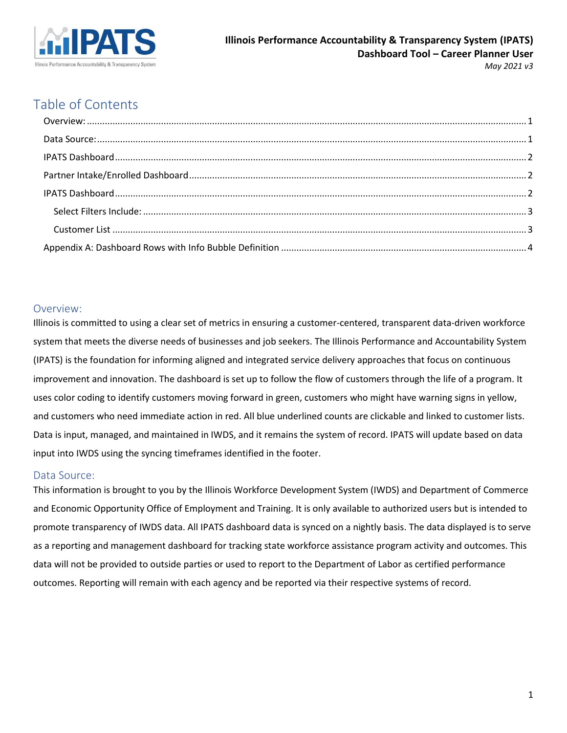

# Table of Contents

#### <span id="page-0-0"></span>Overview:

Illinois is committed to using a clear set of metrics in ensuring a customer-centered, transparent data-driven workforce system that meets the diverse needs of businesses and job seekers. The Illinois Performance and Accountability System (IPATS) is the foundation for informing aligned and integrated service delivery approaches that focus on continuous improvement and innovation. The dashboard is set up to follow the flow of customers through the life of a program. It uses color coding to identify customers moving forward in green, customers who might have warning signs in yellow, and customers who need immediate action in red. All blue underlined counts are clickable and linked to customer lists. Data is input, managed, and maintained in IWDS, and it remains the system of record. IPATS will update based on data input into IWDS using the syncing timeframes identified in the footer.

#### <span id="page-0-1"></span>Data Source:

This information is brought to you by the Illinois Workforce Development System (IWDS) and Department of Commerce and Economic Opportunity Office of Employment and Training. It is only available to authorized users but is intended to promote transparency of IWDS data. All IPATS dashboard data is synced on a nightly basis. The data displayed is to serve as a reporting and management dashboard for tracking state workforce assistance program activity and outcomes. This data will not be provided to outside parties or used to report to the Department of Labor as certified performance outcomes. Reporting will remain with each agency and be reported via their respective systems of record.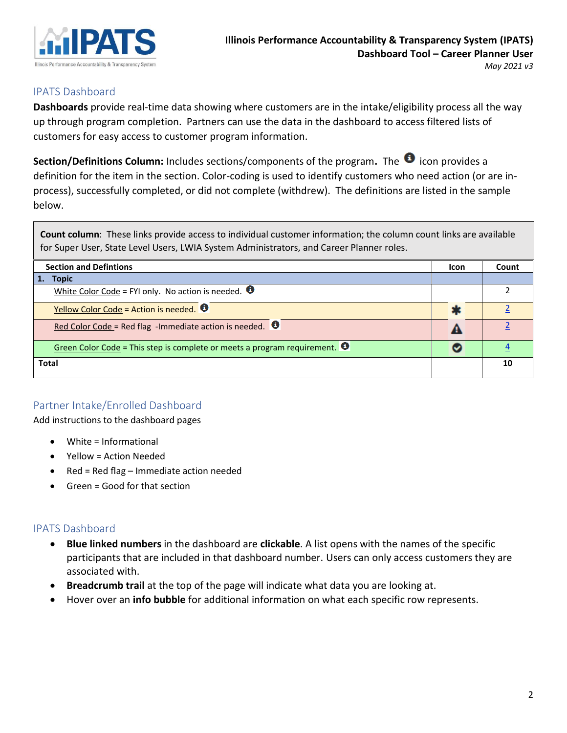

### <span id="page-1-0"></span>IPATS Dashboard

**Dashboards** provide real-time data showing where customers are in the intake/eligibility process all the way up through program completion. Partners can use the data in the dashboard to access filtered lists of customers for easy access to customer program information.

Section/Definitions Column: Includes sections/components of the program. The <sup>0</sup> icon provides a definition for the item in the section. Color-coding is used to identify customers who need action (or are inprocess), successfully completed, or did not complete (withdrew). The definitions are listed in the sample below.

**Count column**: These links provide access to individual customer information; the column count links are available for Super User, State Level Users, LWIA System Administrators, and Career Planner roles.

| <b>Section and Defintions</b>                                                      | Icon | Count |
|------------------------------------------------------------------------------------|------|-------|
| <b>Topic</b><br>1.                                                                 |      |       |
| White Color Code = FYI only. No action is needed. $\bullet$                        |      |       |
| Yellow Color Code = Action is needed. $\bullet$                                    |      |       |
| Red Color Code = Red flag -Immediate action is needed. $\bullet$                   |      |       |
| Green Color Code = This step is complete or meets a program requirement. $\bullet$ |      |       |
| <b>Total</b>                                                                       |      | 10    |

## <span id="page-1-1"></span>Partner Intake/Enrolled Dashboard

Add instructions to the dashboard pages

- White = Informational
- Yellow = Action Needed
- Red = Red flag Immediate action needed
- Green = Good for that section

## <span id="page-1-2"></span>IPATS Dashboard

- **Blue linked numbers** in the dashboard are **clickable**. A list opens with the names of the specific participants that are included in that dashboard number. Users can only access customers they are associated with.
- **Breadcrumb trail** at the top of the page will indicate what data you are looking at.
- Hover over an **info bubble** for additional information on what each specific row represents.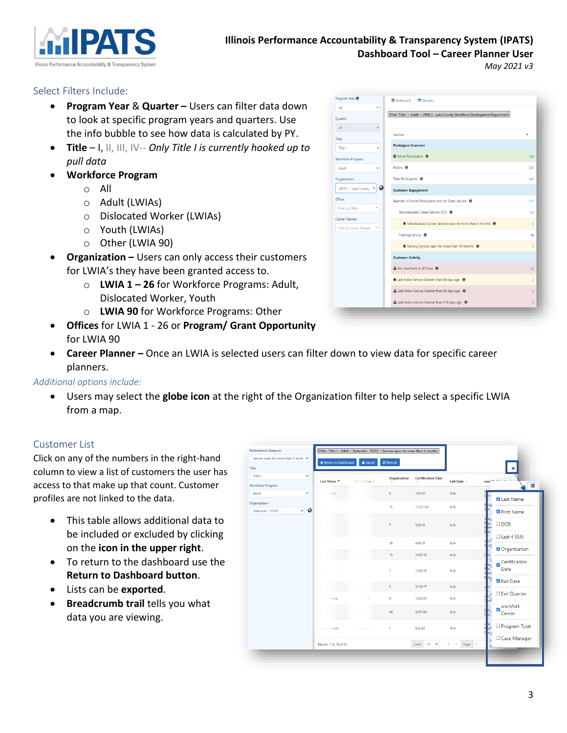

#### <span id="page-2-0"></span>Select Filters Include:

- **Program Year** & **Quarter –** Users can filter data down to look at specific program years and quarters. Use the info bubble to see how data is calculated by PY.
- **Title** I, II, III, IV-- *Only Title I is currently hooked up to pull data*
- **Workforce Program**
	- o All
	- o Adult (LWIAs)
	- o Dislocated Worker (LWIAs)
	- o Youth (LWIAs)
	- o Other (LWIA 90)
- **Organization –** Users can only access their customers for LWIA's they have been granted access to.
	- o **LWIA 1 – 26** for Workforce Programs: Adult, Dislocated Worker, Youth
	- o **LWIA 90** for Workforce Programs: Other
- **Offices** for LWIA 1 26 or **Program/ Grant Opportunity** for LWIA 90
- **Career Planner –** Once an LWIA is selected users can filter down to view data for specific career planners.

#### *Additional options include:*

• Users may select the **globe icon** at the right of the Organization filter to help select a specific LWIA from a map.

#### <span id="page-2-1"></span>Customer List

Click on any of the numbers in the right-hand column to view a list of customers the user has access to that make up that count. Customer profiles are not linked to the data.

- This table allows additional data to be included or excluded by clicking on the **icon in the upper right**.
- To return to the dashboard use the **Return to Dashboard button**.
- Lists can be **exported**.
- **Breadcrumb trail** tells you what data you are viewing.

| Performance Measure:                          | Filter: Title I > Adult > Statewide - DCEO > Service open for more than 6 months |                              |                |                           |                      |            |                           |
|-----------------------------------------------|----------------------------------------------------------------------------------|------------------------------|----------------|---------------------------|----------------------|------------|---------------------------|
| Service open for more than 6 mont v           | ← Return to Dashboard                                                            | $\triangle$ Export           | $C$ Refresh    |                           |                      |            |                           |
| <b>Title:</b>                                 |                                                                                  |                              |                |                           |                      |            |                           |
| Title I<br>$\checkmark$                       | Last Name ^                                                                      | First Name $\Leftrightarrow$ | Organization   | <b>Certification Date</b> | Exit Date $\hat{=}$  | won'*' * - |                           |
| Workforce Program:                            |                                                                                  |                              |                |                           |                      |            | н                         |
| Adult<br>$\check{ }$                          | alla.<br>W                                                                       | ed.                          | 6              | 1/9/20                    | N/A                  |            | <b>Z</b> Last Name        |
| Organization:                                 | Be                                                                               |                              | 11             | 11/21/19                  | N/A                  |            |                           |
| $\bullet$<br>$\checkmark$<br>Statewide - DCEO |                                                                                  |                              |                |                           |                      |            | First Name                |
|                                               | B                                                                                |                              | $\overline{7}$ | 5/8/19                    | N/A                  |            | $\Box$ DOB                |
|                                               |                                                                                  |                              |                |                           |                      |            | □ Last 4 SSN              |
|                                               | B                                                                                |                              | 18             | 4/8/19                    | N/A                  |            |                           |
|                                               |                                                                                  |                              |                |                           |                      | 6          | <sup>2</sup> Organization |
|                                               | R                                                                                |                              | 15             | 5/30/19                   | N/A                  |            | Certification             |
|                                               | Br                                                                               | $-35$                        | $\overline{7}$ | 12/9/19                   | N/A                  |            | Date                      |
|                                               |                                                                                  |                              |                |                           |                      | 'n         | <b>Z</b> Exit Date        |
|                                               | B                                                                                |                              | 5              | 3/10/17                   | N/A                  |            |                           |
|                                               | Ch:<br>akova                                                                     | ma                           | 6              | 1/22/20                   | N/A                  |            | □ Exit Quarter            |
|                                               |                                                                                  |                              |                |                           |                      |            | workNet                   |
|                                               | C                                                                                |                              | 26             | 5/27/20                   | N/A                  |            | Center                    |
|                                               |                                                                                  |                              |                |                           |                      |            | O Program Type            |
|                                               | <b>Damjanovich</b>                                                               | Alexander                    | $\overline{7}$ | 6/2/20                    | N/A                  | ьd<br>Έ    |                           |
|                                               |                                                                                  |                              |                | $\check{~}$               |                      |            | □ Case Manager            |
|                                               | Results: 1 to 10 of 41                                                           |                              |                | $10-10$<br>Limit          | $\ll$ $ <$<br>Page 1 |            | Roman                     |

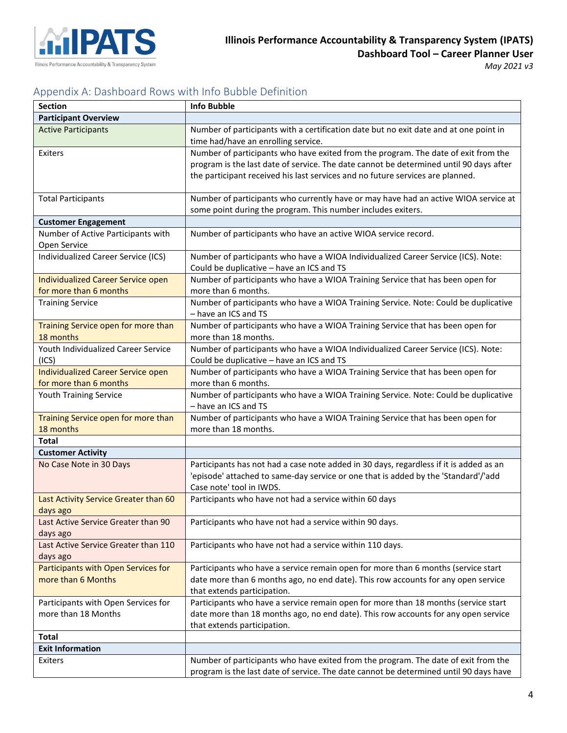

## <span id="page-3-0"></span>Appendix A: Dashboard Rows with Info Bubble Definition

| <b>Section</b>                                   | <b>Info Bubble</b>                                                                                                                                                          |
|--------------------------------------------------|-----------------------------------------------------------------------------------------------------------------------------------------------------------------------------|
| <b>Participant Overview</b>                      |                                                                                                                                                                             |
| <b>Active Participants</b>                       | Number of participants with a certification date but no exit date and at one point in                                                                                       |
|                                                  | time had/have an enrolling service.                                                                                                                                         |
| Exiters                                          | Number of participants who have exited from the program. The date of exit from the                                                                                          |
|                                                  | program is the last date of service. The date cannot be determined until 90 days after                                                                                      |
|                                                  | the participant received his last services and no future services are planned.                                                                                              |
|                                                  |                                                                                                                                                                             |
| <b>Total Participants</b>                        | Number of participants who currently have or may have had an active WIOA service at                                                                                         |
|                                                  | some point during the program. This number includes exiters.                                                                                                                |
| <b>Customer Engagement</b>                       |                                                                                                                                                                             |
| Number of Active Participants with               | Number of participants who have an active WIOA service record.                                                                                                              |
| Open Service                                     |                                                                                                                                                                             |
| Individualized Career Service (ICS)              | Number of participants who have a WIOA Individualized Career Service (ICS). Note:                                                                                           |
|                                                  | Could be duplicative - have an ICS and TS                                                                                                                                   |
| Individualized Career Service open               | Number of participants who have a WIOA Training Service that has been open for                                                                                              |
| for more than 6 months                           | more than 6 months.                                                                                                                                                         |
| <b>Training Service</b>                          | Number of participants who have a WIOA Training Service. Note: Could be duplicative<br>- have an ICS and TS                                                                 |
|                                                  | Number of participants who have a WIOA Training Service that has been open for                                                                                              |
| Training Service open for more than<br>18 months | more than 18 months.                                                                                                                                                        |
| Youth Individualized Career Service              | Number of participants who have a WIOA Individualized Career Service (ICS). Note:                                                                                           |
| (ICS)                                            | Could be duplicative - have an ICS and TS                                                                                                                                   |
| Individualized Career Service open               | Number of participants who have a WIOA Training Service that has been open for                                                                                              |
| for more than 6 months                           | more than 6 months.                                                                                                                                                         |
| Youth Training Service                           | Number of participants who have a WIOA Training Service. Note: Could be duplicative                                                                                         |
|                                                  | - have an ICS and TS                                                                                                                                                        |
| Training Service open for more than              | Number of participants who have a WIOA Training Service that has been open for                                                                                              |
| 18 months                                        | more than 18 months.                                                                                                                                                        |
| <b>Total</b>                                     |                                                                                                                                                                             |
| <b>Customer Activity</b>                         |                                                                                                                                                                             |
| No Case Note in 30 Days                          | Participants has not had a case note added in 30 days, regardless if it is added as an                                                                                      |
|                                                  | 'episode' attached to same-day service or one that is added by the 'Standard'/'add                                                                                          |
|                                                  | Case note' tool in IWDS.                                                                                                                                                    |
| Last Activity Service Greater than 60            | Participants who have not had a service within 60 days                                                                                                                      |
| days ago                                         |                                                                                                                                                                             |
| Last Active Service Greater than 90              | Participants who have not had a service within 90 days.                                                                                                                     |
| days ago                                         |                                                                                                                                                                             |
| Last Active Service Greater than 110             | Participants who have not had a service within 110 days.                                                                                                                    |
| days ago                                         |                                                                                                                                                                             |
| Participants with Open Services for              | Participants who have a service remain open for more than 6 months (service start                                                                                           |
| more than 6 Months                               | date more than 6 months ago, no end date). This row accounts for any open service                                                                                           |
|                                                  | that extends participation.                                                                                                                                                 |
| Participants with Open Services for              | Participants who have a service remain open for more than 18 months (service start                                                                                          |
| more than 18 Months                              | date more than 18 months ago, no end date). This row accounts for any open service                                                                                          |
|                                                  | that extends participation.                                                                                                                                                 |
| <b>Total</b>                                     |                                                                                                                                                                             |
|                                                  |                                                                                                                                                                             |
|                                                  |                                                                                                                                                                             |
| <b>Exit Information</b><br><b>Exiters</b>        | Number of participants who have exited from the program. The date of exit from the<br>program is the last date of service. The date cannot be determined until 90 days have |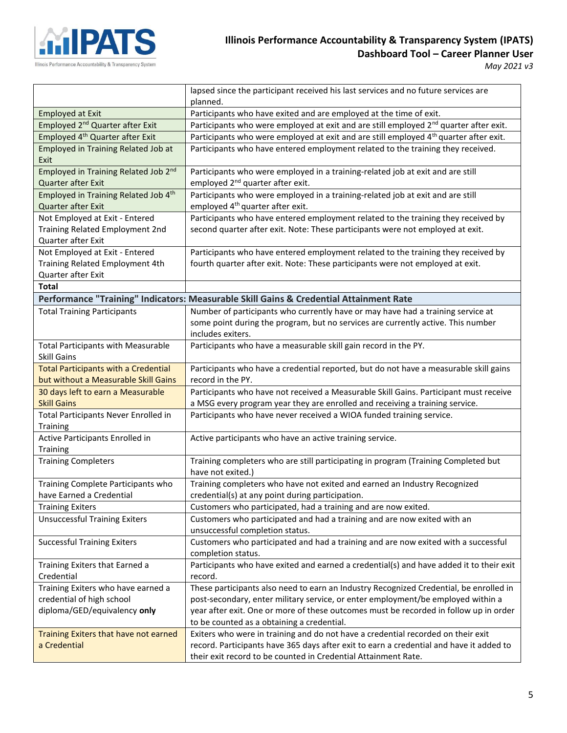

## **Illinois Performance Accountability & Transparency System (IPATS) Dashboard Tool – Career Planner User**

*May 2021 v3*

÷

|                                                         | lapsed since the participant received his last services and no future services are                |
|---------------------------------------------------------|---------------------------------------------------------------------------------------------------|
|                                                         | planned.                                                                                          |
| <b>Employed at Exit</b>                                 | Participants who have exited and are employed at the time of exit.                                |
| Employed 2 <sup>nd</sup> Quarter after Exit             | Participants who were employed at exit and are still employed 2 <sup>nd</sup> quarter after exit. |
| Employed 4 <sup>th</sup> Quarter after Exit             | Participants who were employed at exit and are still employed 4 <sup>th</sup> quarter after exit. |
| <b>Employed in Training Related Job at</b><br>Exit      | Participants who have entered employment related to the training they received.                   |
| Employed in Training Related Job 2nd                    | Participants who were employed in a training-related job at exit and are still                    |
| Quarter after Exit                                      | employed 2 <sup>nd</sup> quarter after exit.                                                      |
| Employed in Training Related Job 4th                    | Participants who were employed in a training-related job at exit and are still                    |
| Quarter after Exit                                      | employed 4 <sup>th</sup> quarter after exit.                                                      |
| Not Employed at Exit - Entered                          | Participants who have entered employment related to the training they received by                 |
| Training Related Employment 2nd                         | second quarter after exit. Note: These participants were not employed at exit.                    |
| Quarter after Exit                                      |                                                                                                   |
| Not Employed at Exit - Entered                          | Participants who have entered employment related to the training they received by                 |
| Training Related Employment 4th                         | fourth quarter after exit. Note: These participants were not employed at exit.                    |
| Quarter after Exit                                      |                                                                                                   |
| Total                                                   |                                                                                                   |
|                                                         | Performance "Training" Indicators: Measurable Skill Gains & Credential Attainment Rate            |
| <b>Total Training Participants</b>                      | Number of participants who currently have or may have had a training service at                   |
|                                                         | some point during the program, but no services are currently active. This number                  |
|                                                         | includes exiters.                                                                                 |
| <b>Total Participants with Measurable</b>               | Participants who have a measurable skill gain record in the PY.                                   |
| <b>Skill Gains</b>                                      |                                                                                                   |
| <b>Total Participants with a Credential</b>             | Participants who have a credential reported, but do not have a measurable skill gains             |
| but without a Measurable Skill Gains                    | record in the PY.                                                                                 |
| 30 days left to earn a Measurable                       | Participants who have not received a Measurable Skill Gains. Participant must receive             |
| <b>Skill Gains</b>                                      | a MSG every program year they are enrolled and receiving a training service.                      |
| Total Participants Never Enrolled in<br><b>Training</b> | Participants who have never received a WIOA funded training service.                              |
| Active Participants Enrolled in<br><b>Training</b>      | Active participants who have an active training service.                                          |
| <b>Training Completers</b>                              | Training completers who are still participating in program (Training Completed but                |
|                                                         | have not exited.)                                                                                 |
| Training Complete Participants who                      | Training completers who have not exited and earned an Industry Recognized                         |
| have Earned a Credential                                | credential(s) at any point during participation.                                                  |
| <b>Training Exiters</b>                                 | Customers who participated, had a training and are now exited.                                    |
| <b>Unsuccessful Training Exiters</b>                    | Customers who participated and had a training and are now exited with an                          |
|                                                         | unsuccessful completion status.                                                                   |
| <b>Successful Training Exiters</b>                      | Customers who participated and had a training and are now exited with a successful                |
|                                                         | completion status.                                                                                |
| Training Exiters that Earned a                          | Participants who have exited and earned a credential(s) and have added it to their exit           |
| Credential                                              | record.                                                                                           |
| Training Exiters who have earned a                      | These participants also need to earn an Industry Recognized Credential, be enrolled in            |
| credential of high school                               | post-secondary, enter military service, or enter employment/be employed within a                  |
| diploma/GED/equivalency only                            | year after exit. One or more of these outcomes must be recorded in follow up in order             |
|                                                         | to be counted as a obtaining a credential.                                                        |
| Training Exiters that have not earned                   | Exiters who were in training and do not have a credential recorded on their exit                  |
| a Credential                                            | record. Participants have 365 days after exit to earn a credential and have it added to           |
|                                                         | their exit record to be counted in Credential Attainment Rate.                                    |